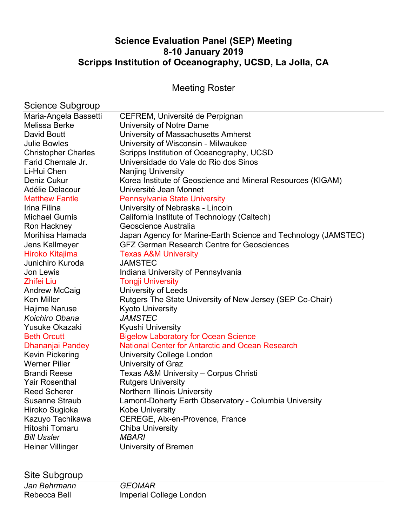# **Science Evaluation Panel (SEP) Meeting 8-10 January 2019 Scripps Institution of Oceanography, UCSD, La Jolla, CA**

# Meeting Roster

# Science Subgroup

| Maria-Angela Bassetti      | CEFREM, Université de Perpignan                                |
|----------------------------|----------------------------------------------------------------|
| Melissa Berke              | University of Notre Dame                                       |
| David Boutt                | University of Massachusetts Amherst                            |
| <b>Julie Bowles</b>        | University of Wisconsin - Milwaukee                            |
| <b>Christopher Charles</b> | Scripps Institution of Oceanography, UCSD                      |
| Farid Chemale Jr.          | Universidade do Vale do Rio dos Sinos                          |
| Li-Hui Chen                | <b>Nanjing University</b>                                      |
| Deniz Cukur                | Korea Institute of Geoscience and Mineral Resources (KIGAM)    |
| Adélie Delacour            | Université Jean Monnet                                         |
| <b>Matthew Fantle</b>      | <b>Pennsylvania State University</b>                           |
| Irina Filina               | University of Nebraska - Lincoln                               |
| <b>Michael Gurnis</b>      | California Institute of Technology (Caltech)                   |
| Ron Hackney                | Geoscience Australia                                           |
| Morihisa Hamada            | Japan Agency for Marine-Earth Science and Technology (JAMSTEC) |
| Jens Kallmeyer             | <b>GFZ German Research Centre for Geosciences</b>              |
| Hiroko Kitajima            | <b>Texas A&amp;M University</b>                                |
| Junichiro Kuroda           | <b>JAMSTEC</b>                                                 |
| Jon Lewis                  | Indiana University of Pennsylvania                             |
| <b>Zhifei Liu</b>          | <b>Tongji University</b>                                       |
| <b>Andrew McCaig</b>       | <b>University of Leeds</b>                                     |
| <b>Ken Miller</b>          | Rutgers The State University of New Jersey (SEP Co-Chair)      |
| Hajime Naruse              | <b>Kyoto University</b>                                        |
| Koichiro Obana             | <b>JAMSTEC</b>                                                 |
| Yusuke Okazaki             | <b>Kyushi University</b>                                       |
| <b>Beth Orcutt</b>         | <b>Bigelow Laboratory for Ocean Science</b>                    |
| Dhananjai Pandey           | <b>National Center for Antarctic and Ocean Research</b>        |
| Kevin Pickering            | <b>University College London</b>                               |
| <b>Werner Piller</b>       | University of Graz                                             |
| <b>Brandi Reese</b>        | Texas A&M University - Corpus Christi                          |
| <b>Yair Rosenthal</b>      | <b>Rutgers University</b>                                      |
| <b>Reed Scherer</b>        | Northern Illinois University                                   |
| Susanne Straub             | Lamont-Doherty Earth Observatory - Columbia University         |
| Hiroko Sugioka             | <b>Kobe University</b>                                         |
| Kazuyo Tachikawa           | CEREGE, Aix-en-Provence, France                                |
| Hitoshi Tomaru             | <b>Chiba University</b>                                        |
| <b>Bill Ussler</b>         | <b>MBARI</b>                                                   |
| <b>Heiner Villinger</b>    | University of Bremen                                           |
|                            |                                                                |

# Site Subgroup

*Jan Behrmann GEOMAR*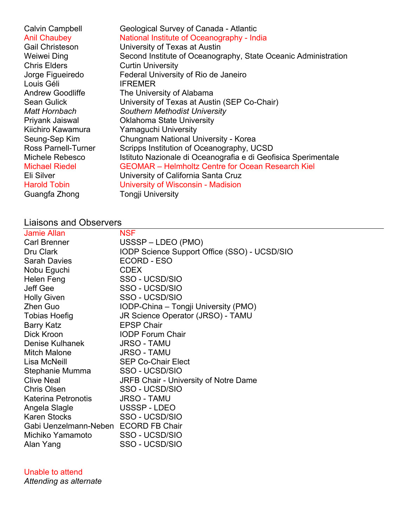| <b>Gail Christeson</b><br>University of Texas at Austin<br>Weiwei Ding<br><b>Chris Elders</b><br><b>Curtin University</b><br>Jorge Figueiredo<br>Federal University of Rio de Janeiro<br>Louis Géli<br><b>IFREMER</b><br><b>Andrew Goodliffe</b><br>The University of Alabama<br><b>Sean Gulick</b><br>University of Texas at Austin (SEP Co-Chair)<br>Matt Hornbach<br><b>Southern Methodist University</b><br>Priyank Jaiswal<br><b>Oklahoma State University</b><br>Kiichiro Kawamura<br><b>Yamaguchi University</b><br>Seung-Sep Kim<br>Chungnam National University - Korea<br><b>Ross Parnell-Turner</b><br>Scripps Institution of Oceanography, UCSD<br>Michele Rebesco<br><b>GEOMAR</b> – Helmholtz Centre for Ocean Research Kiel<br><b>Michael Riedel</b><br>Eli Silver<br>University of California Santa Cruz<br>University of Wisconsin - Madision<br><b>Harold Tobin</b><br>Guangfa Zhong<br>Tongji University | <b>Calvin Campbell</b><br><b>Anil Chaubey</b> | Geological Survey of Canada - Atlantic<br>National Institute of Oceanography - India<br>Second Institute of Oceanography, State Oceanic Administration<br>Istituto Nazionale di Oceanografia e di Geofisica Sperimentale |
|-----------------------------------------------------------------------------------------------------------------------------------------------------------------------------------------------------------------------------------------------------------------------------------------------------------------------------------------------------------------------------------------------------------------------------------------------------------------------------------------------------------------------------------------------------------------------------------------------------------------------------------------------------------------------------------------------------------------------------------------------------------------------------------------------------------------------------------------------------------------------------------------------------------------------------|-----------------------------------------------|--------------------------------------------------------------------------------------------------------------------------------------------------------------------------------------------------------------------------|
|-----------------------------------------------------------------------------------------------------------------------------------------------------------------------------------------------------------------------------------------------------------------------------------------------------------------------------------------------------------------------------------------------------------------------------------------------------------------------------------------------------------------------------------------------------------------------------------------------------------------------------------------------------------------------------------------------------------------------------------------------------------------------------------------------------------------------------------------------------------------------------------------------------------------------------|-----------------------------------------------|--------------------------------------------------------------------------------------------------------------------------------------------------------------------------------------------------------------------------|

# Liaisons and Observers

| <b>Jamie Allan</b>                   | <b>NSF</b>                                   |
|--------------------------------------|----------------------------------------------|
| <b>Carl Brenner</b>                  | USSSP-LDEO (PMO)                             |
| Dru Clark                            | IODP Science Support Office (SSO) - UCSD/SIO |
| <b>Sarah Davies</b>                  | ECORD - ESO                                  |
| Nobu Eguchi                          | <b>CDEX</b>                                  |
| Helen Feng                           | SSO - UCSD/SIO                               |
| Jeff Gee                             | SSO - UCSD/SIO                               |
| <b>Holly Given</b>                   | SSO - UCSD/SIO                               |
| <b>Zhen Guo</b>                      | IODP-China – Tongji University (PMO)         |
| Tobias Hoefig                        | <b>JR Science Operator (JRSO) - TAMU</b>     |
| <b>Barry Katz</b>                    | <b>EPSP Chair</b>                            |
| Dick Kroon                           | <b>IODP Forum Chair</b>                      |
| Denise Kulhanek                      | <b>JRSO - TAMU</b>                           |
| <b>Mitch Malone</b>                  | <b>JRSO - TAMU</b>                           |
| Lisa McNeill                         | <b>SEP Co-Chair Elect</b>                    |
| Stephanie Mumma                      | SSO - UCSD/SIO                               |
| <b>Clive Neal</b>                    | <b>JRFB Chair - University of Notre Dame</b> |
| <b>Chris Olsen</b>                   | SSO - UCSD/SIO                               |
| Katerina Petronotis                  | <b>JRSO - TAMU</b>                           |
| Angela Slagle                        | USSSP-LDEO                                   |
| <b>Karen Stocks</b>                  | SSO - UCSD/SIO                               |
| Gabi Uenzelmann-Neben ECORD FB Chair |                                              |
| Michiko Yamamoto                     | SSO - UCSD/SIO                               |
| Alan Yang                            | SSO - UCSD/SIO                               |

## Unable to attend

*Attending as alternate*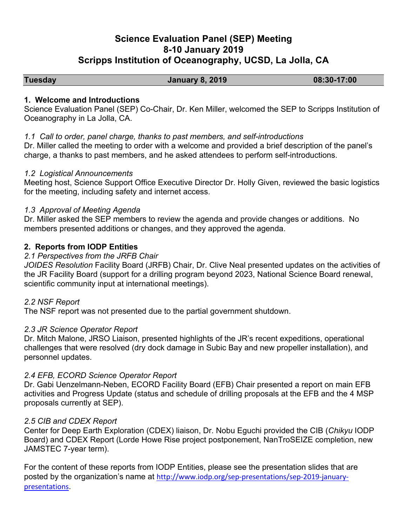# **Science Evaluation Panel (SEP) Meeting 8-10 January 2019 Scripps Institution of Oceanography, UCSD, La Jolla, CA**

**Tuesday January 8, 2019 08:30-17:00** 

#### **1. Welcome and Introductions**

Science Evaluation Panel (SEP) Co-Chair, Dr. Ken Miller, welcomed the SEP to Scripps Institution of Oceanography in La Jolla, CA.

## *1.1 Call to order, panel charge, thanks to past members, and self-introductions*

Dr. Miller called the meeting to order with a welcome and provided a brief description of the panel's charge, a thanks to past members, and he asked attendees to perform self-introductions.

#### *1.2 Logistical Announcements*

Meeting host, Science Support Office Executive Director Dr. Holly Given, reviewed the basic logistics for the meeting, including safety and internet access.

# *1.3 Approval of Meeting Agenda*

Dr. Miller asked the SEP members to review the agenda and provide changes or additions. No members presented additions or changes, and they approved the agenda.

# **2. Reports from IODP Entities**

## *2.1 Perspectives from the JRFB Chair*

*JOIDES Resolution* Facility Board (JRFB) Chair, Dr. Clive Neal presented updates on the activities of the JR Facility Board (support for a drilling program beyond 2023, National Science Board renewal, scientific community input at international meetings).

#### *2.2 NSF Report*

The NSF report was not presented due to the partial government shutdown.

#### *2.3 JR Science Operator Report*

Dr. Mitch Malone, JRSO Liaison, presented highlights of the JR's recent expeditions, operational challenges that were resolved (dry dock damage in Subic Bay and new propeller installation), and personnel updates.

# *2.4 EFB, ECORD Science Operator Report*

Dr. Gabi Uenzelmann-Neben, ECORD Facility Board (EFB) Chair presented a report on main EFB activities and Progress Update (status and schedule of drilling proposals at the EFB and the 4 MSP proposals currently at SEP).

#### *2.5 CIB and CDEX Report*

Center for Deep Earth Exploration (CDEX) liaison, Dr. Nobu Eguchi provided the CIB (*Chikyu* IODP Board) and CDEX Report (Lorde Howe Rise project postponement, NanTroSEIZE completion, new JAMSTEC 7-year term).

For the content of these reports from IODP Entities, please see the presentation slides that are posted by the organization's name at http://www.iodp.org/sep-presentations/sep-2019-januarypresentations.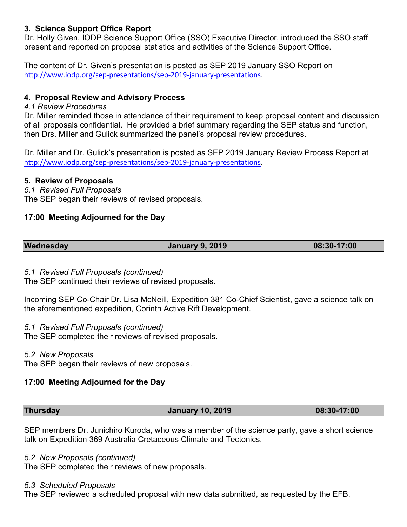## **3. Science Support Office Report**

Dr. Holly Given, IODP Science Support Office (SSO) Executive Director, introduced the SSO staff present and reported on proposal statistics and activities of the Science Support Office.

The content of Dr. Given's presentation is posted as SEP 2019 January SSO Report on http://www.iodp.org/sep-presentations/sep-2019-january-presentations.

## **4. Proposal Review and Advisory Process**

#### *4.1 Review Procedures*

Dr. Miller reminded those in attendance of their requirement to keep proposal content and discussion of all proposals confidential. He provided a brief summary regarding the SEP status and function, then Drs. Miller and Gulick summarized the panel's proposal review procedures.

Dr. Miller and Dr. Gulick's presentation is posted as SEP 2019 January Review Process Report at http://www.iodp.org/sep-presentations/sep-2019-january-presentations.

#### **5. Review of Proposals**

*5.1 Revised Full Proposals* The SEP began their reviews of revised proposals.

## **17:00 Meeting Adjourned for the Day**

**Wednesday January 9, 2019 08:30-17:00** 

# *5.1 Revised Full Proposals (continued)*

The SEP continued their reviews of revised proposals.

Incoming SEP Co-Chair Dr. Lisa McNeill, Expedition 381 Co-Chief Scientist, gave a science talk on the aforementioned expedition, Corinth Active Rift Development.

#### *5.1 Revised Full Proposals (continued)*

The SEP completed their reviews of revised proposals.

#### *5.2 New Proposals*

The SEP began their reviews of new proposals.

# **17:00 Meeting Adjourned for the Day**

#### **Thursday January 10, 2019 08:30-17:00**

SEP members Dr. Junichiro Kuroda, who was a member of the science party, gave a short science talk on Expedition 369 Australia Cretaceous Climate and Tectonics.

#### *5.2 New Proposals (continued)*

The SEP completed their reviews of new proposals.

#### *5.3 Scheduled Proposals*

The SEP reviewed a scheduled proposal with new data submitted, as requested by the EFB.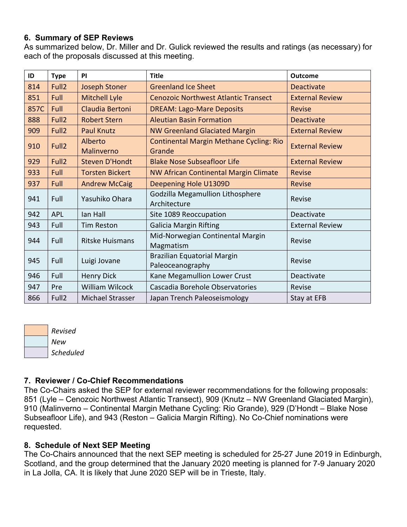#### **6. Summary of SEP Reviews**

As summarized below, Dr. Miller and Dr. Gulick reviewed the results and ratings (as necessary) for each of the proposals discussed at this meeting.

| ID   | <b>Type</b>       | PI                     | <b>Title</b>                                             | <b>Outcome</b>         |
|------|-------------------|------------------------|----------------------------------------------------------|------------------------|
| 814  | Full <sub>2</sub> | <b>Joseph Stoner</b>   | <b>Greenland Ice Sheet</b>                               | <b>Deactivate</b>      |
| 851  | Full              | <b>Mitchell Lyle</b>   | <b>Cenozoic Northwest Atlantic Transect</b>              | <b>External Review</b> |
| 857C | Full              | Claudia Bertoni        | <b>DREAM: Lago-Mare Deposits</b>                         | <b>Revise</b>          |
| 888  | Full <sub>2</sub> | <b>Robert Stern</b>    | <b>Aleutian Basin Formation</b>                          | <b>Deactivate</b>      |
| 909  | Full <sub>2</sub> | <b>Paul Knutz</b>      | <b>NW Greenland Glaciated Margin</b>                     | <b>External Review</b> |
| 910  | Full <sub>2</sub> | Alberto<br>Malinverno  | <b>Continental Margin Methane Cycling: Rio</b><br>Grande | <b>External Review</b> |
| 929  | Full <sub>2</sub> | <b>Steven D'Hondt</b>  | <b>Blake Nose Subseafloor Life</b>                       | <b>External Review</b> |
| 933  | Full              | <b>Torsten Bickert</b> | <b>NW African Continental Margin Climate</b>             | <b>Revise</b>          |
| 937  | Full              | <b>Andrew McCaig</b>   | Deepening Hole U1309D                                    | Revise                 |
| 941  | Full              | Yasuhiko Ohara         | Godzilla Megamullion Lithosphere<br>Architecture         | Revise                 |
| 942  | <b>APL</b>        | lan Hall               | Site 1089 Reoccupation                                   | Deactivate             |
| 943  | Full              | <b>Tim Reston</b>      | <b>Galicia Margin Rifting</b>                            | <b>External Review</b> |
| 944  | Full              | <b>Ritske Huismans</b> | Mid-Norwegian Continental Margin<br>Magmatism            | Revise                 |
| 945  | Full              | Luigi Jovane           | <b>Brazilian Equatorial Margin</b><br>Paleoceanography   | Revise                 |
| 946  | Full              | <b>Henry Dick</b>      | Kane Megamullion Lower Crust                             | Deactivate             |
| 947  | Pre               | <b>William Wilcock</b> | Cascadia Borehole Observatories                          | Revise                 |
| 866  | Full <sub>2</sub> | Michael Strasser       | Japan Trench Paleoseismology                             | Stay at EFB            |

*Revised*

# *New Scheduled*

# **7. Reviewer / Co-Chief Recommendations**

The Co-Chairs asked the SEP for external reviewer recommendations for the following proposals: 851 (Lyle – Cenozoic Northwest Atlantic Transect), 909 (Knutz – NW Greenland Glaciated Margin), 910 (Malinverno – Continental Margin Methane Cycling: Rio Grande), 929 (D'Hondt – Blake Nose Subseafloor Life), and 943 (Reston – Galicia Margin Rifting). No Co-Chief nominations were requested.

# **8. Schedule of Next SEP Meeting**

The Co-Chairs announced that the next SEP meeting is scheduled for 25-27 June 2019 in Edinburgh, Scotland, and the group determined that the January 2020 meeting is planned for 7-9 January 2020 in La Jolla, CA. It is likely that June 2020 SEP will be in Trieste, Italy.